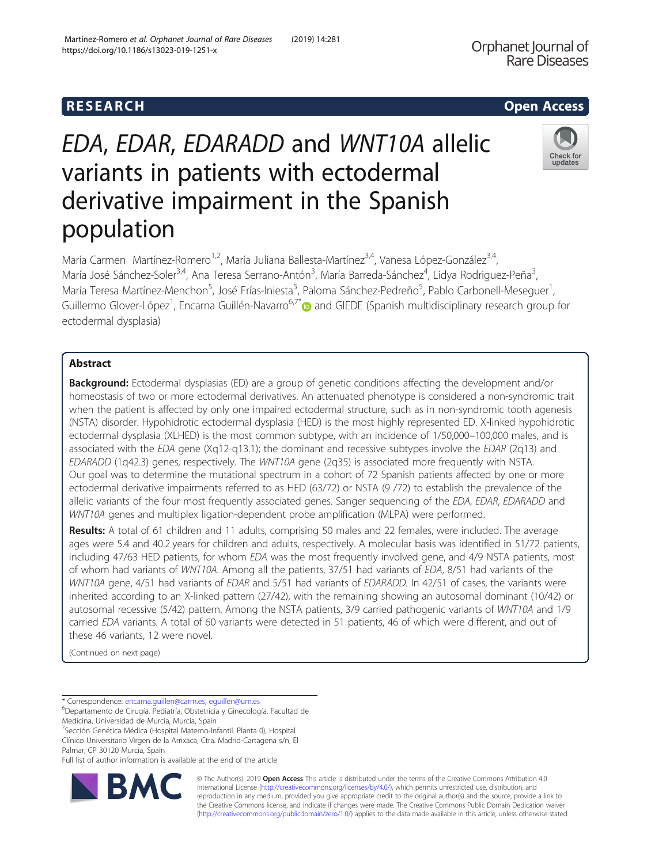## R E S EAR CH Open Access

# EDA, EDAR, EDARADD and WNT10A allelic variants in patients with ectodermal derivative impairment in the Spanish population

María Carmen Martínez-Romero<sup>1,2</sup>, María Juliana Ballesta-Martínez<sup>3,4</sup>, Vanesa López-González<sup>3,4</sup>, María José Sánchez-Soler<sup>3,4</sup>, Ana Teresa Serrano-Antón<sup>3</sup>, María Barreda-Sánchez<sup>4</sup>, Lidya Rodriguez-Peña<sup>3</sup> , María Teresa Martínez-Menchon<sup>5</sup>, José Frías-Iniesta<sup>5</sup>, Paloma Sánchez-Pedreño<sup>5</sup>, Pablo Carbonell-Meseguer<sup>1</sup> , Guillermo Glover-López<sup>1</sup>, Encarna Guillén-Navarro<sup>6,7[\\*](http://orcid.org/0000-0002-2915-7381)</sup> and GIEDE (Spanish multidisciplinary research group for ectodermal dysplasia)

## Abstract

**Background:** Ectodermal dysplasias (ED) are a group of genetic conditions affecting the development and/or homeostasis of two or more ectodermal derivatives. An attenuated phenotype is considered a non-syndromic trait when the patient is affected by only one impaired ectodermal structure, such as in non-syndromic tooth agenesis (NSTA) disorder. Hypohidrotic ectodermal dysplasia (HED) is the most highly represented ED. X-linked hypohidrotic ectodermal dysplasia (XLHED) is the most common subtype, with an incidence of 1/50,000–100,000 males, and is associated with the EDA gene (Xq12-q13.1); the dominant and recessive subtypes involve the EDAR (2q13) and EDARADD (1q42.3) genes, respectively. The WNT10A gene (2q35) is associated more frequently with NSTA. Our goal was to determine the mutational spectrum in a cohort of 72 Spanish patients affected by one or more ectodermal derivative impairments referred to as HED (63/72) or NSTA (9 /72) to establish the prevalence of the allelic variants of the four most frequently associated genes. Sanger sequencing of the EDA, EDAR, EDARADD and WNT10A genes and multiplex ligation-dependent probe amplification (MLPA) were performed.

Results: A total of 61 children and 11 adults, comprising 50 males and 22 females, were included. The average ages were 5.4 and 40.2 years for children and adults, respectively. A molecular basis was identified in 51/72 patients, including 47/63 HED patients, for whom EDA was the most frequently involved gene, and 4/9 NSTA patients, most of whom had variants of WNT10A. Among all the patients, 37/51 had variants of EDA, 8/51 had variants of the WNT10A gene, 4/51 had variants of EDAR and 5/51 had variants of EDARADD. In 42/51 of cases, the variants were inherited according to an X-linked pattern (27/42), with the remaining showing an autosomal dominant (10/42) or autosomal recessive (5/42) pattern. Among the NSTA patients, 3/9 carried pathogenic variants of WNT10A and 1/9 carried EDA variants. A total of 60 variants were detected in 51 patients, 46 of which were different, and out of these 46 variants, 12 were novel.

(Continued on next page)

\* Correspondence: [encarna.guillen@carm.es;](mailto:encarna.guillen@carm.es) [eguillen@um.es](mailto:eguillen@um.es) <sup>6</sup>

Departamento de Cirugía, Pediatría, Obstetricia y Ginecología. Facultad de Medicina, Universidad de Murcia, Murcia, Spain

<sup>7</sup> Sección Genética Médica (Hospital Materno-Infantil. Planta 0), Hospital

Clínico Universitario Virgen de la Arrixaca, Ctra. Madrid-Cartagena s/n, El Palmar, CP 30120 Murcia, Spain

Full list of author information is available at the end of the article

© The Author(s). 2019 **Open Access** This article is distributed under the terms of the Creative Commons Attribution 4.0 International License [\(http://creativecommons.org/licenses/by/4.0/](http://creativecommons.org/licenses/by/4.0/)), which permits unrestricted use, distribution, and reproduction in any medium, provided you give appropriate credit to the original author(s) and the source, provide a link to the Creative Commons license, and indicate if changes were made. The Creative Commons Public Domain Dedication waiver [\(http://creativecommons.org/publicdomain/zero/1.0/](http://creativecommons.org/publicdomain/zero/1.0/)) applies to the data made available in this article, unless otherwise stated.



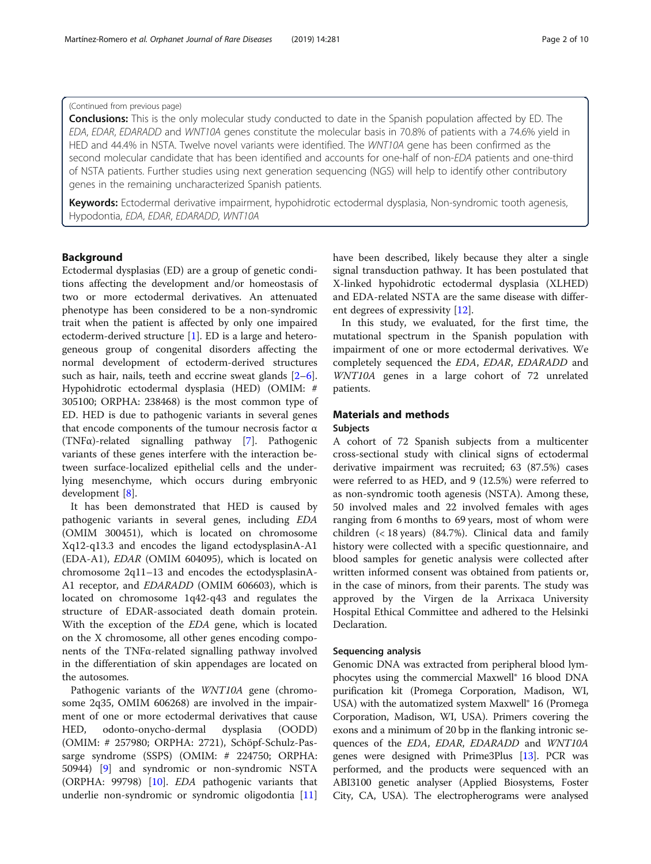#### (Continued from previous page)

**Conclusions:** This is the only molecular study conducted to date in the Spanish population affected by ED. The EDA, EDAR, EDARADD and WNT10A genes constitute the molecular basis in 70.8% of patients with a 74.6% yield in HED and 44.4% in NSTA. Twelve novel variants were identified. The WNT10A gene has been confirmed as the second molecular candidate that has been identified and accounts for one-half of non-EDA patients and one-third of NSTA patients. Further studies using next generation sequencing (NGS) will help to identify other contributory genes in the remaining uncharacterized Spanish patients.

Keywords: Ectodermal derivative impairment, hypohidrotic ectodermal dysplasia, Non-syndromic tooth agenesis, Hypodontia, EDA, EDAR, EDARADD, WNT10A

#### Background

Ectodermal dysplasias (ED) are a group of genetic conditions affecting the development and/or homeostasis of two or more ectodermal derivatives. An attenuated phenotype has been considered to be a non-syndromic trait when the patient is affected by only one impaired ectoderm-derived structure [[1\]](#page-8-0). ED is a large and heterogeneous group of congenital disorders affecting the normal development of ectoderm-derived structures such as hair, nails, teeth and eccrine sweat glands [\[2](#page-8-0)–[6](#page-8-0)]. Hypohidrotic ectodermal dysplasia (HED) (OMIM: # 305100; ORPHA: 238468) is the most common type of ED. HED is due to pathogenic variants in several genes that encode components of the tumour necrosis factor α (TNFα)-related signalling pathway [\[7](#page-8-0)]. Pathogenic variants of these genes interfere with the interaction between surface-localized epithelial cells and the underlying mesenchyme, which occurs during embryonic development [\[8](#page-8-0)].

It has been demonstrated that HED is caused by pathogenic variants in several genes, including EDA (OMIM 300451), which is located on chromosome Xq12-q13.3 and encodes the ligand ectodysplasinA-A1 (EDA-A1), EDAR (OMIM 604095), which is located on chromosome 2q11–13 and encodes the ectodysplasinA-A1 receptor, and EDARADD (OMIM 606603), which is located on chromosome 1q42-q43 and regulates the structure of EDAR-associated death domain protein. With the exception of the EDA gene, which is located on the X chromosome, all other genes encoding components of the TNFα-related signalling pathway involved in the differentiation of skin appendages are located on the autosomes.

Pathogenic variants of the WNT10A gene (chromosome 2q35, OMIM 606268) are involved in the impairment of one or more ectodermal derivatives that cause HED, odonto-onycho-dermal dysplasia (OODD) (OMIM: # 257980; ORPHA: 2721), Schöpf-Schulz-Passarge syndrome (SSPS) (OMIM: # 224750; ORPHA: 50944) [\[9](#page-8-0)] and syndromic or non-syndromic NSTA (ORPHA: 99798) [[10\]](#page-8-0). EDA pathogenic variants that underlie non-syndromic or syndromic oligodontia [[11](#page-8-0)] have been described, likely because they alter a single signal transduction pathway. It has been postulated that X-linked hypohidrotic ectodermal dysplasia (XLHED) and EDA-related NSTA are the same disease with different degrees of expressivity [\[12](#page-8-0)].

In this study, we evaluated, for the first time, the mutational spectrum in the Spanish population with impairment of one or more ectodermal derivatives. We completely sequenced the EDA, EDAR, EDARADD and WNT10A genes in a large cohort of 72 unrelated patients.

## Materials and methods

#### Subjects

A cohort of 72 Spanish subjects from a multicenter cross-sectional study with clinical signs of ectodermal derivative impairment was recruited; 63 (87.5%) cases were referred to as HED, and 9 (12.5%) were referred to as non-syndromic tooth agenesis (NSTA). Among these, 50 involved males and 22 involved females with ages ranging from 6 months to 69 years, most of whom were children (< 18 years) (84.7%). Clinical data and family history were collected with a specific questionnaire, and blood samples for genetic analysis were collected after written informed consent was obtained from patients or, in the case of minors, from their parents. The study was approved by the Virgen de la Arrixaca University Hospital Ethical Committee and adhered to the Helsinki Declaration.

#### Sequencing analysis

Genomic DNA was extracted from peripheral blood lymphocytes using the commercial Maxwell® 16 blood DNA purification kit (Promega Corporation, Madison, WI, USA) with the automatized system Maxwell<sup>®</sup> 16 (Promega Corporation, Madison, WI, USA). Primers covering the exons and a minimum of 20 bp in the flanking intronic sequences of the EDA, EDAR, EDARADD and WNT10A genes were designed with Prime3Plus [\[13](#page-8-0)]. PCR was performed, and the products were sequenced with an ABI3100 genetic analyser (Applied Biosystems, Foster City, CA, USA). The electropherograms were analysed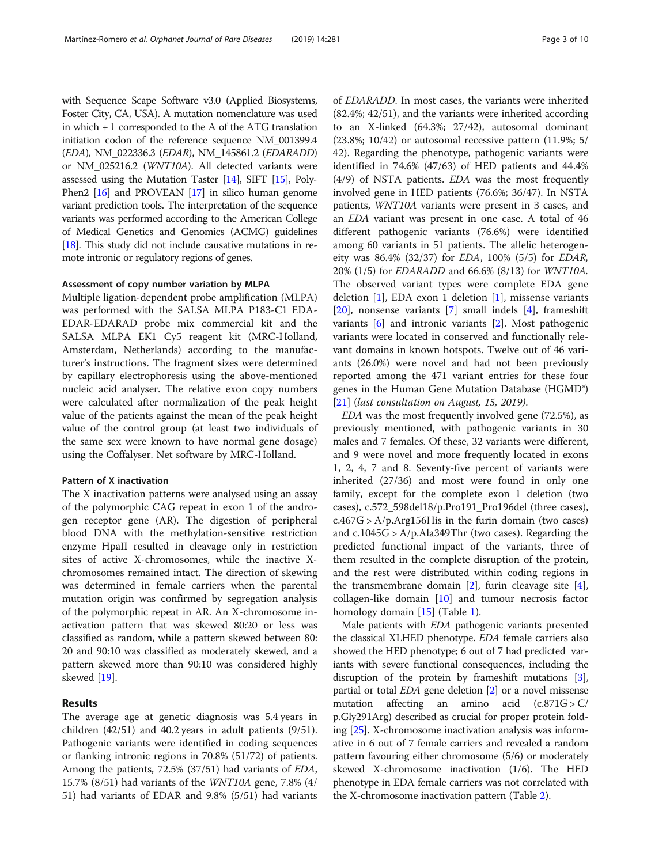with Sequence Scape Software v3.0 (Applied Biosystems, Foster City, CA, USA). A mutation nomenclature was used in which + 1 corresponded to the A of the ATG translation initiation codon of the reference sequence NM\_001399.4 (EDA), NM\_022336.3 (EDAR), NM\_145861.2 (EDARADD) or NM\_025216.2 (WNT10A). All detected variants were assessed using the Mutation Taster [\[14](#page-8-0)], SIFT [[15](#page-8-0)], Poly-Phen2 [\[16\]](#page-8-0) and PROVEAN [\[17\]](#page-8-0) in silico human genome variant prediction tools. The interpretation of the sequence variants was performed according to the American College of Medical Genetics and Genomics (ACMG) guidelines [[18](#page-8-0)]. This study did not include causative mutations in remote intronic or regulatory regions of genes.

#### Assessment of copy number variation by MLPA

Multiple ligation-dependent probe amplification (MLPA) was performed with the SALSA MLPA P183-C1 EDA-EDAR-EDARAD probe mix commercial kit and the SALSA MLPA EK1 Cy5 reagent kit (MRC-Holland, Amsterdam, Netherlands) according to the manufacturer's instructions. The fragment sizes were determined by capillary electrophoresis using the above-mentioned nucleic acid analyser. The relative exon copy numbers were calculated after normalization of the peak height value of the patients against the mean of the peak height value of the control group (at least two individuals of the same sex were known to have normal gene dosage) using the Coffalyser. Net software by MRC-Holland.

#### Pattern of X inactivation

The X inactivation patterns were analysed using an assay of the polymorphic CAG repeat in exon 1 of the androgen receptor gene (AR). The digestion of peripheral blood DNA with the methylation-sensitive restriction enzyme HpaII resulted in cleavage only in restriction sites of active X-chromosomes, while the inactive Xchromosomes remained intact. The direction of skewing was determined in female carriers when the parental mutation origin was confirmed by segregation analysis of the polymorphic repeat in AR. An X-chromosome inactivation pattern that was skewed 80:20 or less was classified as random, while a pattern skewed between 80: 20 and 90:10 was classified as moderately skewed, and a pattern skewed more than 90:10 was considered highly skewed [\[19](#page-8-0)].

### Results

The average age at genetic diagnosis was 5.4 years in children (42/51) and 40.2 years in adult patients (9/51). Pathogenic variants were identified in coding sequences or flanking intronic regions in 70.8% (51/72) of patients. Among the patients, 72.5% (37/51) had variants of EDA, 15.7% (8/51) had variants of the WNT10A gene, 7.8% (4/ 51) had variants of EDAR and 9.8% (5/51) had variants of EDARADD. In most cases, the variants were inherited (82.4%; 42/51), and the variants were inherited according to an X-linked (64.3%; 27/42), autosomal dominant  $(23.8\%; 10/42)$  or autosomal recessive pattern  $(11.9\%; 5/$ 42). Regarding the phenotype, pathogenic variants were identified in 74.6% (47/63) of HED patients and 44.4% (4/9) of NSTA patients. EDA was the most frequently involved gene in HED patients (76.6%; 36/47). In NSTA patients, WNT10A variants were present in 3 cases, and an EDA variant was present in one case. A total of 46 different pathogenic variants (76.6%) were identified among 60 variants in 51 patients. The allelic heterogeneity was 86.4% (32/37) for EDA, 100% (5/5) for EDAR, 20% (1/5) for EDARADD and 66.6% (8/13) for WNT10A. The observed variant types were complete EDA gene deletion [\[1](#page-8-0)], EDA exon 1 deletion [[1\]](#page-8-0), missense variants [[20\]](#page-8-0), nonsense variants [[7\]](#page-8-0) small indels [\[4](#page-8-0)], frameshift variants [\[6](#page-8-0)] and intronic variants [\[2](#page-8-0)]. Most pathogenic variants were located in conserved and functionally relevant domains in known hotspots. Twelve out of 46 variants (26.0%) were novel and had not been previously reported among the 471 variant entries for these four genes in the Human Gene Mutation Database (HGMD®) [[21\]](#page-8-0) (last consultation on August, 15, 2019).

EDA was the most frequently involved gene (72.5%), as previously mentioned, with pathogenic variants in 30 males and 7 females. Of these, 32 variants were different, and 9 were novel and more frequently located in exons 1, 2, 4, 7 and 8. Seventy-five percent of variants were inherited (27/36) and most were found in only one family, except for the complete exon 1 deletion (two cases), c.572\_598del18/p.Pro191\_Pro196del (three cases),  $c.467G > A/p.Arg156H$  is in the furin domain (two cases) and  $c.1045G > A/p.Ala349Thr$  (two cases). Regarding the predicted functional impact of the variants, three of them resulted in the complete disruption of the protein, and the rest were distributed within coding regions in the transmembrane domain  $[2]$  $[2]$ , furin cleavage site  $[4]$  $[4]$ , collagen-like domain [\[10](#page-8-0)] and tumour necrosis factor homology domain [\[15\]](#page-8-0) (Table [1](#page-3-0)).

Male patients with EDA pathogenic variants presented the classical XLHED phenotype. EDA female carriers also showed the HED phenotype; 6 out of 7 had predicted variants with severe functional consequences, including the disruption of the protein by frameshift mutations [[3](#page-8-0)], partial or total *EDA* gene deletion [\[2\]](#page-8-0) or a novel missense<br>mutation affecting an amino acid  $(c.871G > C)$ affecting an amino acid  $(c.871G > C)$ p.Gly291Arg) described as crucial for proper protein folding [\[25\]](#page-8-0). X-chromosome inactivation analysis was informative in 6 out of 7 female carriers and revealed a random pattern favouring either chromosome (5/6) or moderately skewed X-chromosome inactivation (1/6). The HED phenotype in EDA female carriers was not correlated with the X-chromosome inactivation pattern (Table [2\)](#page-4-0).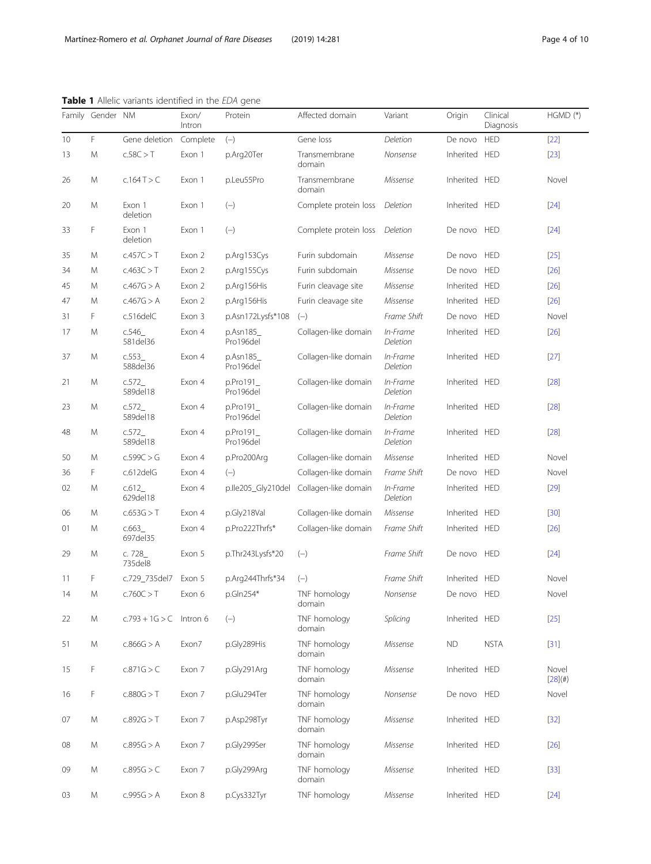|    |                  | <b>Table 1</b> Allelle variants identified in the <i>EDA</i> gene |                 |                       |                                         |                      |               |                       |                  |
|----|------------------|-------------------------------------------------------------------|-----------------|-----------------------|-----------------------------------------|----------------------|---------------|-----------------------|------------------|
|    | Family Gender NM |                                                                   | Exon/<br>Intron | Protein               | Affected domain                         | Variant              | Origin        | Clinical<br>Diagnosis | $HGMD (*)$       |
| 10 | F                | Gene deletion                                                     | Complete        | $(-)$                 | Gene loss                               | Deletion             | De novo       | <b>HED</b>            | $[22]$           |
| 13 | M                | c.58C > T                                                         | Exon 1          | p.Arg20Ter            | Transmembrane<br>domain                 | Nonsense             | Inherited HED |                       | $[23]$           |
| 26 | M                | c.164T > C                                                        | Exon 1          | p.Leu55Pro            | Transmembrane<br>domain                 | Missense             | Inherited HED |                       | Novel            |
| 20 | M                | Exon 1<br>deletion                                                | Exon 1          | $(-)$                 | Complete protein loss                   | Deletion             | Inherited HED |                       | $[24]$           |
| 33 | F                | Exon 1<br>deletion                                                | Exon 1          | $(-)$                 | Complete protein loss                   | Deletion             | De novo HED   |                       | $[24]$           |
| 35 | M                | c.457C > T                                                        | Exon 2          | p.Arg153Cys           | Furin subdomain                         | Missense             | De novo       | <b>HED</b>            | $[25]$           |
| 34 | M                | c.463C > T                                                        | Exon 2          | p.Arg155Cys           | Furin subdomain                         | Missense             | De novo       | <b>HED</b>            | $[26]$           |
| 45 | M                | c.467G > A                                                        | Exon 2          | p.Arg156His           | Furin cleavage site                     | Missense             | Inherited     | <b>HED</b>            | $[26]$           |
| 47 | M                | c.467G > A                                                        | Exon 2          | p.Arg156His           | Furin cleavage site                     | Missense             | Inherited HED |                       | $[26]$           |
| 31 | F                | c.516delC                                                         | Exon 3          | p.Asn172Lysfs*108     | $(-)$                                   | Frame Shift          | De novo       | <b>HED</b>            | Novel            |
| 17 | M                | c.546<br>581 del 36                                               | Exon 4          | p.Asn185<br>Pro196del | Collagen-like domain                    | In-Frame<br>Deletion | Inherited HED |                       | $[26]$           |
| 37 | M                | c.553<br>588del36                                                 | Exon 4          | p.Asn185<br>Pro196del | Collagen-like domain                    | In-Frame<br>Deletion | Inherited HED |                       | $[27]$           |
| 21 | M                | c.572<br>589del18                                                 | Exon 4          | p.Pro191<br>Pro196del | Collagen-like domain                    | In-Frame<br>Deletion | Inherited HED |                       | $[28]$           |
| 23 | M                | c.572<br>589del18                                                 | Exon 4          | p.Pro191<br>Pro196del | Collagen-like domain                    | In-Frame<br>Deletion | Inherited HED |                       | $[28]$           |
| 48 | M                | c.572<br>589del18                                                 | Exon 4          | p.Pro191<br>Pro196del | Collagen-like domain                    | In-Frame<br>Deletion | Inherited HED |                       | $[28]$           |
| 50 | M                | c.599C > G                                                        | Exon 4          | p.Pro200Arg           | Collagen-like domain                    | Missense             | Inherited HED |                       | Novel            |
| 36 | F                | c.612delG                                                         | Exon 4          | $(-)$                 | Collagen-like domain                    | Frame Shift          | De novo       | <b>HED</b>            | Novel            |
| 02 | M                | c.612<br>629del18                                                 | Exon 4          |                       | p.lle205_Gly210del Collagen-like domain | In-Frame<br>Deletion | Inherited HED |                       | $[29]$           |
| 06 | M                | c.653G > T                                                        | Exon 4          | p.Gly218Val           | Collagen-like domain                    | Missense             | Inherited     | <b>HED</b>            | $[30]$           |
| 01 | M                | c.663<br>697 del 35                                               | Exon 4          | p.Pro222Thrfs*        | Collagen-like domain                    | Frame Shift          | Inherited HED |                       | $[26]$           |
| 29 | M                | c. 728_<br>735 del 8                                              | Exon 5          | p.Thr243Lysfs*20      | $(-)$                                   | Frame Shift          | De novo       | <b>HED</b>            | $[24]$           |
| 11 | F                | c.729 735del7 Exon 5                                              |                 | p.Arg244Thrfs*34      | $(-)$                                   | Frame Shift          | Inherited HED |                       | Novel            |
| 14 | M                | c.760C > T                                                        | Exon 6          | p.Gln254*             | TNF homology<br>domain                  | Nonsense             | De novo HED   |                       | Novel            |
| 22 | M                | $c.793 + 1G > C$ Intron 6                                         |                 | $(-)$                 | TNF homology<br>domain                  | Splicing             | Inherited HED |                       | $[25]$           |
| 51 | M                | c.866G > A                                                        | Exon7           | p.Gly289His           | TNF homology<br>domain                  | Missense             | ND.           | <b>NSTA</b>           | $[31]$           |
| 15 | F                | c.871G > C                                                        | Exon 7          | p.Gly291Arg           | TNF homology<br>domain                  | Missense             | Inherited HED |                       | Novel<br>[28](#) |
| 16 | F                | c.880G > T                                                        | Exon 7          | p.Glu294Ter           | TNF homology<br>domain                  | Nonsense             | De novo HED   |                       | Novel            |
| 07 | M                | c.892G > T                                                        | Exon 7          | p.Asp298Tyr           | TNF homology<br>domain                  | Missense             | Inherited HED |                       | $[32]$           |
| 08 | M                | c.895G > A                                                        | Exon 7          | p.Gly299Ser           | TNF homology<br>domain                  | Missense             | Inherited HED |                       | $[26]$           |
| 09 | M                | c.895G > C                                                        | Exon 7          | p.Gly299Arg           | TNF homology<br>domain                  | Missense             | Inherited HED |                       | $[33]$           |
| 03 | ${\sf M}$        | c.995G > A                                                        | Exon 8          | p.Cys332Tyr           | TNF homology                            | Missense             | Inherited HED |                       | $[24]$           |

#### <span id="page-3-0"></span>Table 1 Allelic variants identified in the EDA gene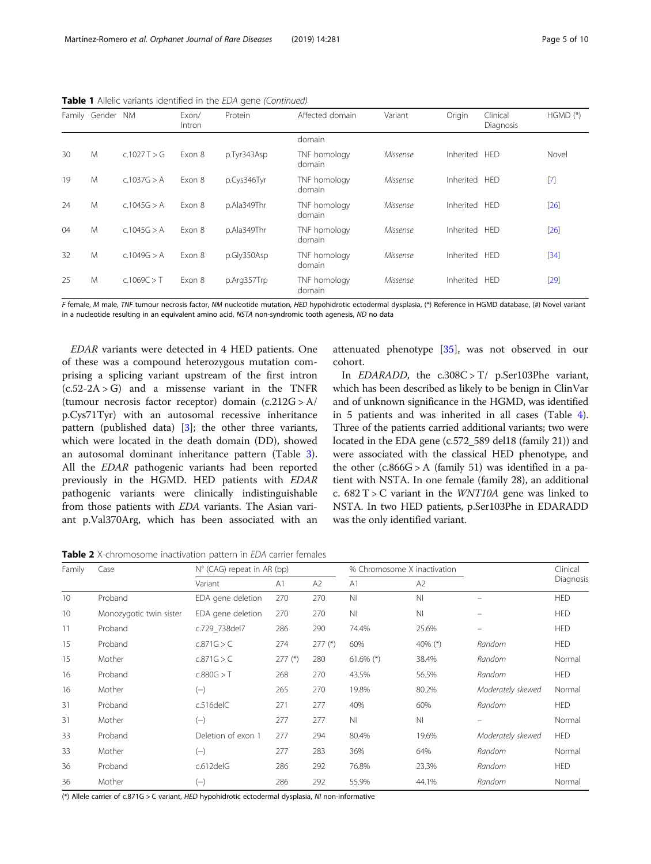|    | Family Gender | <b>NM</b>   | Exon/<br>Intron | Protein     | Affected domain        | Variant  | Origin        | Clinical<br>Diagnosis | $HGMD (*)$ |
|----|---------------|-------------|-----------------|-------------|------------------------|----------|---------------|-----------------------|------------|
|    |               |             |                 |             | domain                 |          |               |                       |            |
| 30 | M             | c.1027T > G | Exon 8          | p.Tyr343Asp | TNF homology<br>domain | Missense | Inherited HED |                       | Novel      |
| 19 | M             | C.1037G > A | Exon 8          | p.Cys346Tyr | TNF homology<br>domain | Missense | Inherited HED |                       | $[7]$      |
| 24 | M             | c.1045G > A | Exon 8          | p.Ala349Thr | TNF homology<br>domain | Missense | Inherited HED |                       | $[26]$     |
| 04 | M             | c.1045G > A | Exon 8          | p.Ala349Thr | TNF homology<br>domain | Missense | Inherited HED |                       | $[26]$     |
| 32 | M             | C.1049G > A | Exon 8          | p.Gly350Asp | TNF homology<br>domain | Missense | Inherited HED |                       | $[34]$     |
| 25 | M             | c.1069C > T | Exon 8          | p.Arg357Trp | TNF homology<br>domain | Missense | Inherited HED |                       | $[29]$     |

<span id="page-4-0"></span>Table 1 Allelic variants identified in the EDA gene (Continued)

F female, M male, TNF tumour necrosis factor, NM nucleotide mutation, HED hypohidrotic ectodermal dysplasia, (\*) Reference in HGMD database, (#) Novel variant in a nucleotide resulting in an equivalent amino acid, NSTA non-syndromic tooth agenesis, ND no data

EDAR variants were detected in 4 HED patients. One of these was a compound heterozygous mutation comprising a splicing variant upstream of the first intron  $(c.52-2A > G)$  and a missense variant in the TNFR (tumour necrosis factor receptor) domain (c.212G > A/ p.Cys71Tyr) with an autosomal recessive inheritance pattern (published data)  $[3]$  $[3]$ ; the other three variants, which were located in the death domain (DD), showed an autosomal dominant inheritance pattern (Table [3](#page-5-0)). All the EDAR pathogenic variants had been reported previously in the HGMD. HED patients with EDAR pathogenic variants were clinically indistinguishable from those patients with EDA variants. The Asian variant p.Val370Arg, which has been associated with an

attenuated phenotype [[35\]](#page-8-0), was not observed in our cohort.

In EDARADD, the c.308C > T/ p.Ser103Phe variant, which has been described as likely to be benign in ClinVar and of unknown significance in the HGMD, was identified in 5 patients and was inherited in all cases (Table [4](#page-5-0)). Three of the patients carried additional variants; two were located in the EDA gene (c.572\_589 del18 (family 21)) and were associated with the classical HED phenotype, and the other  $(c.866G > A$  (family 51) was identified in a patient with NSTA. In one female (family 28), an additional c.  $682$  T > C variant in the *WNT10A* gene was linked to NSTA. In two HED patients, p.Ser103Phe in EDARADD was the only identified variant.

Table 2 X-chromosome inactivation pattern in EDA carrier females

| Family | Case                    | $N^{\circ}$ (CAG) repeat in AR (bp) |                |           |                | % Chromosome X inactivation |                   | Clinical   |
|--------|-------------------------|-------------------------------------|----------------|-----------|----------------|-----------------------------|-------------------|------------|
|        |                         | Variant                             | A <sub>1</sub> | A2        | A <sub>1</sub> | A2                          |                   | Diagnosis  |
| 10     | Proband                 | EDA gene deletion                   | 270            | 270       | N <sub>l</sub> | N <sub>l</sub>              |                   | <b>HED</b> |
| 10     | Monozygotic twin sister | EDA gene deletion                   | 270            | 270       | N <sub>l</sub> | N <sub>l</sub>              |                   | <b>HED</b> |
| 11     | Proband                 | c.729 738del7                       | 286            | 290       | 74.4%          | 25.6%                       |                   | <b>HED</b> |
| 15     | Proband                 | c.871G > C                          | 274            | $277$ (*) | 60%            | 40% $(*)$                   | Random            | <b>HED</b> |
| 15     | Mother                  | c.871G > C                          | $277$ (*)      | 280       | $61.6\%$ (*)   | 38.4%                       | Random            | Normal     |
| 16     | Proband                 | c.880G > T                          | 268            | 270       | 43.5%          | 56.5%                       | Random            | <b>HED</b> |
| 16     | Mother                  | $(-)$                               | 265            | 270       | 19.8%          | 80.2%                       | Moderately skewed | Normal     |
| 31     | Proband                 | $c.516$ del $C$                     | 271            | 277       | 40%            | 60%                         | Random            | <b>HED</b> |
| 31     | Mother                  | $(-)$                               | 277            | 277       | N <sub>1</sub> | N <sub>l</sub>              | -                 | Normal     |
| 33     | Proband                 | Deletion of exon 1                  | 277            | 294       | 80.4%          | 19.6%                       | Moderately skewed | <b>HED</b> |
| 33     | Mother                  | $(-)$                               | 277            | 283       | 36%            | 64%                         | Random            | Normal     |
| 36     | Proband                 | c.612delG                           | 286            | 292       | 76.8%          | 23.3%                       | Random            | <b>HED</b> |
| 36     | Mother                  | $(-)$                               | 286            | 292       | 55.9%          | 44.1%                       | Random            | Normal     |

(\*) Allele carrier of c.871G > C variant, HED hypohidrotic ectodermal dysplasia, NI non-informative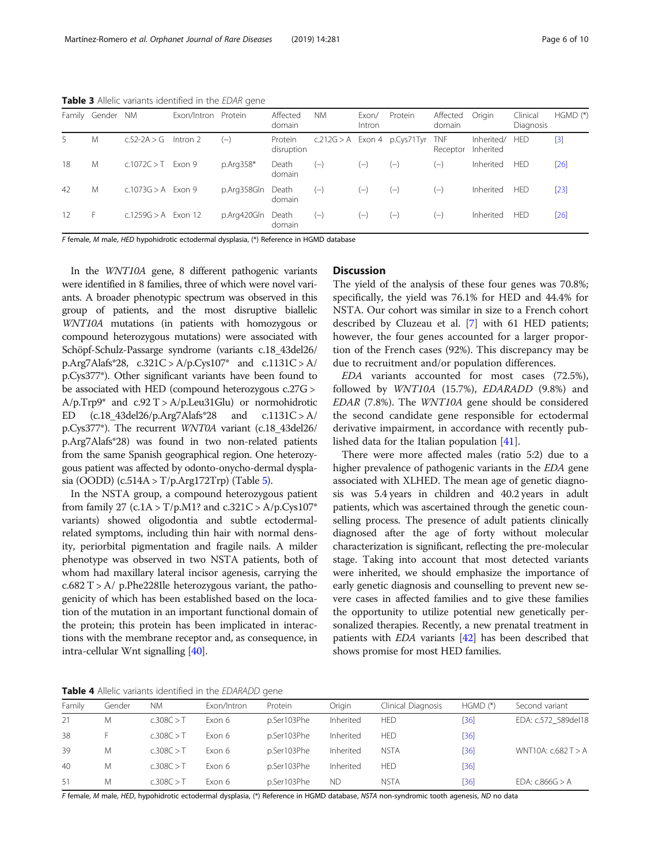<span id="page-5-0"></span>Table 3 Allelic variants identified in the EDAR gene

| Family          | Gender | <b>NM</b>             | Exon/Intron Protein |             | Affected<br>domain    | <b>NM</b> | Exon/<br>Intron | Protein                        | Affected<br>domain     | Origin                  | Clinical<br>Diagnosis | $HGMD (*)$ |
|-----------------|--------|-----------------------|---------------------|-------------|-----------------------|-----------|-----------------|--------------------------------|------------------------|-------------------------|-----------------------|------------|
| 5               | Μ      | $c.52 - 2A > G$       | Intron 2            | $(-)$       | Protein<br>disruption |           |                 | $c.212G > A$ Exon 4 p.Cys71Tyr | <b>TNF</b><br>Receptor | Inherited/<br>Inherited | <b>HED</b>            | $[3]$      |
| 18              | M      | $c.1072C > T$ Exon 9  |                     | $p.Arq358*$ | Death<br>domain       | $(-)$     | $(-)$           | $(-)$                          | $(-)$                  | Inherited               | HED                   | $[26]$     |
| 42              | M      | $c.1073G > A$ Exon 9  |                     | p.Arg358Gln | Death<br>domain       | $(-)$     | $(-)$           | $(-)$                          | $(-)$                  | Inherited               | <b>HED</b>            | $[23]$     |
| 12 <sub>1</sub> | F      | $c.1259G > A$ Exon 12 |                     | p.Arg420Gln | Death<br>domain       | $(-)$     | $(-)$           | $(-)$                          | $(-)$                  | Inherited               | <b>HED</b>            | $[26]$     |

F female, M male, HED hypohidrotic ectodermal dysplasia, (\*) Reference in HGMD database

In the WNT10A gene, 8 different pathogenic variants were identified in 8 families, three of which were novel variants. A broader phenotypic spectrum was observed in this group of patients, and the most disruptive biallelic WNT10A mutations (in patients with homozygous or compound heterozygous mutations) were associated with Schöpf-Schulz-Passarge syndrome (variants c.18\_43del26/ p.Arg7Alafs\*28, c.321C > A/p.Cys107\* and c.1131C > A/ p.Cys377\*). Other significant variants have been found to be associated with HED (compound heterozygous c.27G >  $A/p$ .Trp9\* and c.92 T >  $A/p$ .Leu31Glu) or normohidrotic ED  $(c.18 \text{--} 43 \text{del}26/p \text{--} Arg7 \text{Alafs}^*28$  and  $c.1131C > A/$ p.Cys377\*). The recurrent WNT0A variant (c.18\_43del26/ p.Arg7Alafs\*28) was found in two non-related patients from the same Spanish geographical region. One heterozygous patient was affected by odonto-onycho-dermal dysplasia (OODD) (c.514A > T/p.Arg172Trp) (Table [5\)](#page-6-0).

In the NSTA group, a compound heterozygous patient from family 27 (c.1A >  $T/p.M1?$  and c.321C > A/p.Cys107\* variants) showed oligodontia and subtle ectodermalrelated symptoms, including thin hair with normal density, periorbital pigmentation and fragile nails. A milder phenotype was observed in two NSTA patients, both of whom had maxillary lateral incisor agenesis, carrying the  $c.682$  T > A/ p.Phe228Ile heterozygous variant, the pathogenicity of which has been established based on the location of the mutation in an important functional domain of the protein; this protein has been implicated in interactions with the membrane receptor and, as consequence, in intra-cellular Wnt signalling [\[40\]](#page-9-0).

#### **Discussion**

The yield of the analysis of these four genes was 70.8%; specifically, the yield was 76.1% for HED and 44.4% for NSTA. Our cohort was similar in size to a French cohort described by Cluzeau et al. [\[7](#page-8-0)] with 61 HED patients; however, the four genes accounted for a larger proportion of the French cases (92%). This discrepancy may be due to recruitment and/or population differences.

EDA variants accounted for most cases (72.5%), followed by WNT10A (15.7%), EDARADD (9.8%) and EDAR (7.8%). The WNT10A gene should be considered the second candidate gene responsible for ectodermal derivative impairment, in accordance with recently published data for the Italian population [[41\]](#page-9-0).

There were more affected males (ratio 5:2) due to a higher prevalence of pathogenic variants in the EDA gene associated with XLHED. The mean age of genetic diagnosis was 5.4 years in children and 40.2 years in adult patients, which was ascertained through the genetic counselling process. The presence of adult patients clinically diagnosed after the age of forty without molecular characterization is significant, reflecting the pre-molecular stage. Taking into account that most detected variants were inherited, we should emphasize the importance of early genetic diagnosis and counselling to prevent new severe cases in affected families and to give these families the opportunity to utilize potential new genetically personalized therapies. Recently, a new prenatal treatment in patients with EDA variants [\[42\]](#page-9-0) has been described that shows promise for most HED families.

Table 4 Allelic variants identified in the EDARADD gene

| Family | Gender | <b>NM</b>  | Exon/Intron | Protein     | Oriain    | Clinical Diagnosis | $HGMD (*)$ | Second variant          |
|--------|--------|------------|-------------|-------------|-----------|--------------------|------------|-------------------------|
| 21     | Μ      | c.308C > T | Exon 6      | p.Ser103Phe | Inherited | <b>HED</b>         | [36]       | EDA: c.572 589del18     |
| 38     |        | c.308C > T | Exon 6      | p.Ser103Phe | Inherited | <b>HED</b>         | [36]       |                         |
| 39     | M      | c.308C > T | Exon 6      | p.Ser103Phe | Inherited | <b>NSTA</b>        | [36]       | WNT10A: $c.682$ T $>$ A |
| 40     | M      | c.308C > T | Exon 6      | p.Ser103Phe | Inherited | <b>HED</b>         | [36]       |                         |
| 51     | M      | c.308C > T | Exon 6      | p.Ser103Phe | <b>ND</b> | <b>NSTA</b>        | [36]       | EDA: $c.866G > A$       |

F female, M male, HED, hypohidrotic ectodermal dysplasia, (\*) Reference in HGMD database, NSTA non-syndromic tooth agenesis, ND no data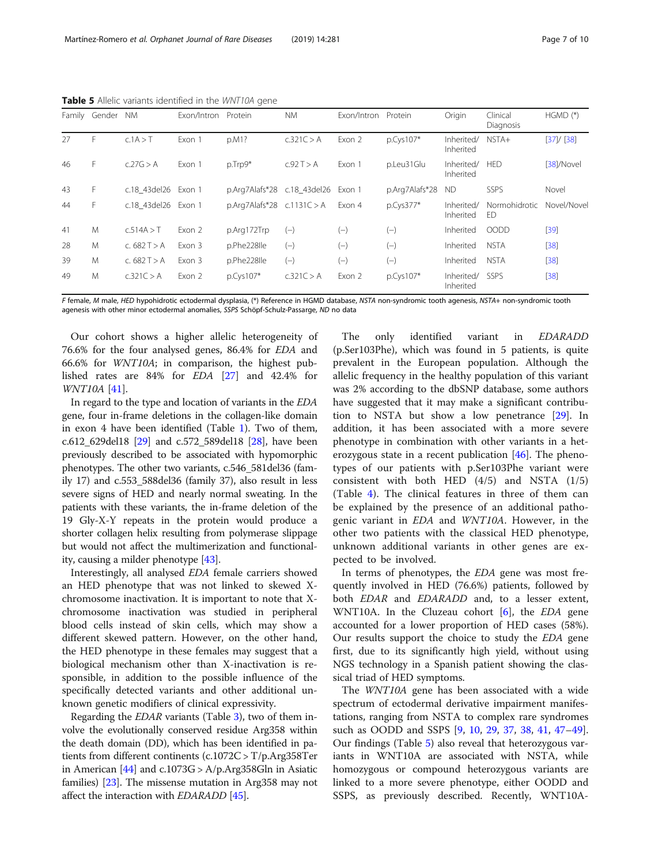|    | Family Gender | <b>NM</b>           | Exon/Intron Protein |                                | <b>NM</b>    | Exon/Intron Protein |                | Origin                  | Clinical<br>Diagnosis | $HGMD (*)$  |
|----|---------------|---------------------|---------------------|--------------------------------|--------------|---------------------|----------------|-------------------------|-----------------------|-------------|
| 27 | F             | c.1A > T            | Exon 1              | p.M1?                          | c.321C > A   | Exon 2              | $p.Cys107*$    | Inherited/<br>Inherited | $NSTA+$               | [37]/[38]   |
| 46 | F.            | c.27G > A           | Exon 1              | p.Trp9*                        | C.92 T > A   | Exon 1              | p.Leu31Glu     | Inherited/<br>Inherited | <b>HED</b>            | [38]/Novel  |
| 43 | F             | c.18 43del26        | Exon 1              | p.Arg7Alafs*28                 | c.18 43del26 | Exon 1              | p.Arg7Alafs*28 | <b>ND</b>               | SSPS                  | Novel       |
| 44 | F             | c.18 43del26 Exon 1 |                     | $p.Arq7Alafs*28$ $c.1131C > A$ |              | Exon 4              | p.Cys377*      | Inherited/<br>Inherited | Normohidrotic<br>ED   | Novel/Novel |
| 41 | M             | c.514A > T          | Exon 2              | p.Arg172Trp                    | $(-)$        | $(-)$               | $(-)$          | Inherited               | OODD                  | $[39]$      |
| 28 | M             | c. $682T > A$       | Exon 3              | p.Phe228lle                    | $(-)$        | $(-)$               | $(-)$          | Inherited               | <b>NSTA</b>           | $[38]$      |
| 39 | M             | c. $682 T > A$      | Exon 3              | p.Phe228lle                    | $(-)$        | $(-)$               | $(-)$          | Inherited               | <b>NSTA</b>           | $[38]$      |
| 49 | M             | c.321C > A          | Exon 2              | $p.Cys107*$                    | c.321C > A   | Exon 2              | $p.Cys107*$    | Inherited/<br>Inherited | SSPS                  | $[38]$      |

<span id="page-6-0"></span>Table 5 Allelic variants identified in the WNT10A gene

F female, M male, HED hypohidrotic ectodermal dysplasia, (\*) Reference in HGMD database, NSTA non-syndromic tooth agenesis, NSTA+ non-syndromic tooth agenesis with other minor ectodermal anomalies, SSPS Schöpf-Schulz-Passarge, ND no data

Our cohort shows a higher allelic heterogeneity of 76.6% for the four analysed genes, 86.4% for EDA and 66.6% for WNT10A; in comparison, the highest published rates are 84% for EDA [[27\]](#page-8-0) and 42.4% for WNT10A [[41\]](#page-9-0).

In regard to the type and location of variants in the EDA gene, four in-frame deletions in the collagen-like domain in exon 4 have been identified (Table [1\)](#page-3-0). Two of them, c.612\_629del18 [\[29](#page-8-0)] and c.572\_589del18 [\[28\]](#page-8-0), have been previously described to be associated with hypomorphic phenotypes. The other two variants, c.546\_581del36 (family 17) and c.553\_588del36 (family 37), also result in less severe signs of HED and nearly normal sweating. In the patients with these variants, the in-frame deletion of the 19 Gly-X-Y repeats in the protein would produce a shorter collagen helix resulting from polymerase slippage but would not affect the multimerization and functionality, causing a milder phenotype [\[43\]](#page-9-0).

Interestingly, all analysed EDA female carriers showed an HED phenotype that was not linked to skewed Xchromosome inactivation. It is important to note that Xchromosome inactivation was studied in peripheral blood cells instead of skin cells, which may show a different skewed pattern. However, on the other hand, the HED phenotype in these females may suggest that a biological mechanism other than X-inactivation is responsible, in addition to the possible influence of the specifically detected variants and other additional unknown genetic modifiers of clinical expressivity.

Regarding the EDAR variants (Table [3\)](#page-5-0), two of them involve the evolutionally conserved residue Arg358 within the death domain (DD), which has been identified in patients from different continents (c.1072C > T/p.Arg358Ter in American  $[44]$  $[44]$  $[44]$  and c.1073G > A/p.Arg358Gln in Asiatic families) [[23](#page-8-0)]. The missense mutation in Arg358 may not affect the interaction with *EDARADD* [\[45\]](#page-9-0).

The only identified variant in *EDARADD*<br>(p.Ser103Phe), which was found in 5 patients, is quite prevalent in the European population. Although the allelic frequency in the healthy population of this variant was 2% according to the dbSNP database, some authors have suggested that it may make a significant contribution to NSTA but show a low penetrance [\[29](#page-8-0)]. In addition, it has been associated with a more severe phenotype in combination with other variants in a heterozygous state in a recent publication  $[46]$  $[46]$ . The phenotypes of our patients with p.Ser103Phe variant were consistent with both HED (4/5) and NSTA (1/5) (Table [4](#page-5-0)). The clinical features in three of them can be explained by the presence of an additional pathogenic variant in EDA and WNT10A. However, in the other two patients with the classical HED phenotype, unknown additional variants in other genes are expected to be involved.

In terms of phenotypes, the EDA gene was most frequently involved in HED (76.6%) patients, followed by both EDAR and EDARADD and, to a lesser extent, WNT10A. In the Cluzeau cohort  $[6]$  $[6]$ , the *EDA* gene accounted for a lower proportion of HED cases (58%). Our results support the choice to study the EDA gene first, due to its significantly high yield, without using NGS technology in a Spanish patient showing the classical triad of HED symptoms.

The WNT10A gene has been associated with a wide spectrum of ectodermal derivative impairment manifestations, ranging from NSTA to complex rare syndromes such as OODD and SSPS [[9,](#page-8-0) [10](#page-8-0), [29,](#page-8-0) [37](#page-8-0), [38](#page-8-0), [41,](#page-9-0) [47](#page-9-0)–[49](#page-9-0)]. Our findings (Table 5) also reveal that heterozygous variants in WNT10A are associated with NSTA, while homozygous or compound heterozygous variants are linked to a more severe phenotype, either OODD and SSPS, as previously described. Recently, WNT10A-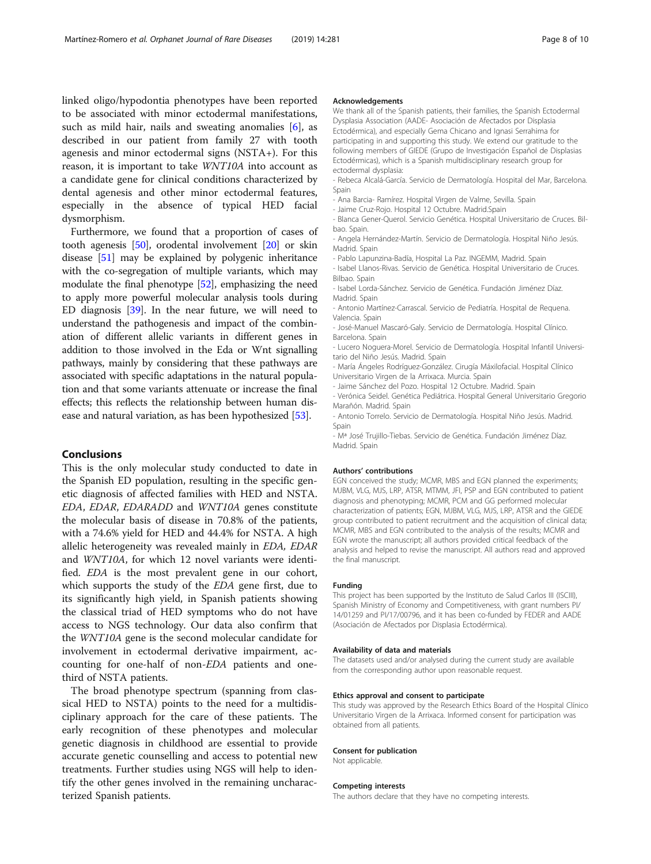linked oligo/hypodontia phenotypes have been reported to be associated with minor ectodermal manifestations, such as mild hair, nails and sweating anomalies [[6\]](#page-8-0), as described in our patient from family 27 with tooth agenesis and minor ectodermal signs (NSTA+). For this reason, it is important to take WNT10A into account as a candidate gene for clinical conditions characterized by dental agenesis and other minor ectodermal features, especially in the absence of typical HED facial dysmorphism.

Furthermore, we found that a proportion of cases of tooth agenesis [[50](#page-9-0)], orodental involvement [\[20\]](#page-8-0) or skin disease [[51](#page-9-0)] may be explained by polygenic inheritance with the co-segregation of multiple variants, which may modulate the final phenotype [\[52](#page-9-0)], emphasizing the need to apply more powerful molecular analysis tools during ED diagnosis [[39\]](#page-9-0). In the near future, we will need to understand the pathogenesis and impact of the combination of different allelic variants in different genes in addition to those involved in the Eda or Wnt signalling pathways, mainly by considering that these pathways are associated with specific adaptations in the natural population and that some variants attenuate or increase the final effects; this reflects the relationship between human disease and natural variation, as has been hypothesized [\[53\]](#page-9-0).

#### Conclusions

This is the only molecular study conducted to date in the Spanish ED population, resulting in the specific genetic diagnosis of affected families with HED and NSTA. EDA, EDAR, EDARADD and WNT10A genes constitute the molecular basis of disease in 70.8% of the patients, with a 74.6% yield for HED and 44.4% for NSTA. A high allelic heterogeneity was revealed mainly in EDA, EDAR and WNT10A, for which 12 novel variants were identified. EDA is the most prevalent gene in our cohort, which supports the study of the EDA gene first, due to its significantly high yield, in Spanish patients showing the classical triad of HED symptoms who do not have access to NGS technology. Our data also confirm that the WNT10A gene is the second molecular candidate for involvement in ectodermal derivative impairment, accounting for one-half of non-EDA patients and onethird of NSTA patients.

The broad phenotype spectrum (spanning from classical HED to NSTA) points to the need for a multidisciplinary approach for the care of these patients. The early recognition of these phenotypes and molecular genetic diagnosis in childhood are essential to provide accurate genetic counselling and access to potential new treatments. Further studies using NGS will help to identify the other genes involved in the remaining uncharacterized Spanish patients.

#### Acknowledgements

We thank all of the Spanish patients, their families, the Spanish Ectodermal Dysplasia Association (AADE- Asociación de Afectados por Displasia Ectodérmica), and especially Gema Chicano and Ignasi Serrahima for participating in and supporting this study. We extend our gratitude to the following members of GIEDE (Grupo de Investigación Español de Displasias Ectodérmicas), which is a Spanish multidisciplinary research group for ectodermal dysplasia:

- Rebeca Alcalá-García. Servicio de Dermatología. Hospital del Mar, Barcelona. Spain

- Ana Barcia- Ramírez. Hospital Virgen de Valme, Sevilla. Spain

- Jaime Cruz-Rojo. Hospital 12 Octubre. Madrid.Spain

- Blanca Gener-Querol. Servicio Genética. Hospital Universitario de Cruces. Bilbao. Spain.

- Angela Hernández-Martín. Servicio de Dermatología. Hospital Niño Jesús. Madrid. Spain

- Pablo Lapunzina-Badía, Hospital La Paz. INGEMM, Madrid. Spain

- Isabel Llanos-Rivas. Servicio de Genética. Hospital Universitario de Cruces. Bilbao. Spain

- Isabel Lorda-Sánchez. Servicio de Genética. Fundación Jiménez Díaz. Madrid. Spain

- Antonio Martínez-Carrascal. Servicio de Pediatría. Hospital de Requena. Valencia. Spain

- José-Manuel Mascaró-Galy. Servicio de Dermatología. Hospital Clínico. Barcelona. Spain

- Lucero Noguera-Morel. Servicio de Dermatología. Hospital Infantil Universitario del Niño Jesús. Madrid. Spain

- María Ángeles Rodríguez-González. Cirugía Máxilofacial. Hospital Clínico Universitario Virgen de la Arrixaca. Murcia. Spain

- Jaime Sánchez del Pozo. Hospital 12 Octubre. Madrid. Spain

- Verónica Seidel. Genética Pediátrica. Hospital General Universitario Gregorio Marañón. Madrid. Spain

- Antonio Torrelo. Servicio de Dermatología. Hospital Niño Jesús. Madrid. Spain

- Mª José Trujillo-Tiebas. Servicio de Genética. Fundación Jiménez Díaz. Madrid. Spain

#### Authors' contributions

EGN conceived the study; MCMR, MBS and EGN planned the experiments; MJBM, VLG, MJS, LRP, ATSR, MTMM, JFI, PSP and EGN contributed to patient diagnosis and phenotyping; MCMR, PCM and GG performed molecular characterization of patients; EGN, MJBM, VLG, MJS, LRP, ATSR and the GIEDE group contributed to patient recruitment and the acquisition of clinical data; MCMR, MBS and EGN contributed to the analysis of the results; MCMR and EGN wrote the manuscript; all authors provided critical feedback of the analysis and helped to revise the manuscript. All authors read and approved the final manuscript.

#### Funding

This project has been supported by the Instituto de Salud Carlos III (ISCIII), Spanish Ministry of Economy and Competitiveness, with grant numbers PI/ 14/01259 and PI/17/00796, and it has been co-funded by FEDER and AADE (Asociación de Afectados por Displasia Ectodérmica).

#### Availability of data and materials

The datasets used and/or analysed during the current study are available from the corresponding author upon reasonable request.

#### Ethics approval and consent to participate

This study was approved by the Research Ethics Board of the Hospital Clínico Universitario Virgen de la Arrixaca. Informed consent for participation was obtained from all patients.

#### Consent for publication

Not applicable.

#### Competing interests

The authors declare that they have no competing interests.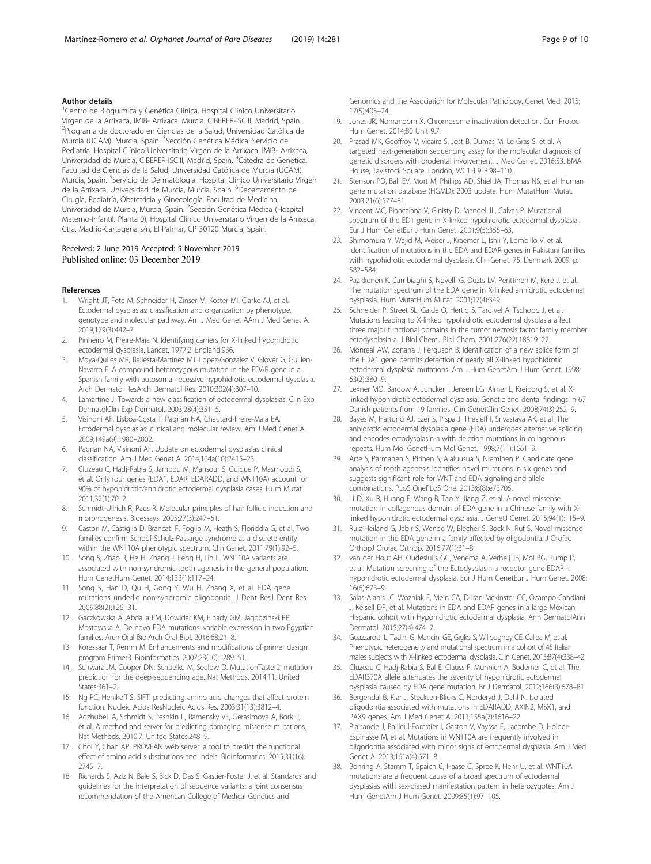#### <span id="page-8-0"></span>Author details

<sup>1</sup> Centro de Bioquímica y Genética Clínica, Hospital Clínico Universitario Virgen de la Arrixaca, IMIB- Arrixaca. Murcia. CIBERER-ISCIII, Madrid, Spain. <sup>2</sup>Programa de doctorado en Ciencias de la Salud, Universidad Católica de Murcia (UCAM), Murcia, Spain. <sup>3</sup>Sección Genética Médica. Servicio de Pediatría. Hospital Clínico Universitario Virgen de la Arrixaca. IMIB- Arrixaca, Universidad de Murcia. CIBERER-ISCIII, Madrid, Spain. <sup>4</sup>Cátedra de Genética. Facultad de Ciencias de la Salud, Universidad Católica de Murcia (UCAM), Murcia, Spain. <sup>5</sup>Servicio de Dermatología. Hospital Clínico Universitario Virgen de la Arrixaca, Universidad de Murcia, Murcia, Spain. <sup>6</sup>Departamento de Cirugía, Pediatría, Obstetricia y Ginecología. Facultad de Medicina, Universidad de Murcia, Murcia, Spain. <sup>7</sup>Sección Genética Médica (Hospital Materno-Infantil. Planta 0), Hospital Clínico Universitario Virgen de la Arrixaca, Ctra. Madrid-Cartagena s/n, El Palmar, CP 30120 Murcia, Spain.

#### Received: 2 June 2019 Accepted: 5 November 2019 Published online: 03 December 2019

#### References

- 1. Wright JT, Fete M, Schneider H, Zinser M, Koster MI, Clarke AJ, et al. Ectodermal dysplasias: classification and organization by phenotype, genotype and molecular pathway. Am J Med Genet AAm J Med Genet A. 2019;179(3):442–7.
- 2. Pinheiro M, Freire-Maia N. Identifying carriers for X-linked hypohidrotic ectodermal dysplasia. Lancet. 1977;2. England:936.
- 3. Moya-Quiles MR, Ballesta-Martinez MJ, Lopez-Gonzalez V, Glover G, Guillen-Navarro E. A compound heterozygous mutation in the EDAR gene in a Spanish family with autosomal recessive hypohidrotic ectodermal dysplasia. Arch Dermatol ResArch Dermatol Res. 2010;302(4):307–10.
- Lamartine J. Towards a new classification of ectodermal dysplasias. Clin Exp DermatolClin Exp Dermatol. 2003;28(4):351–5.
- 5. Visinoni AF, Lisboa-Costa T, Pagnan NA, Chautard-Freire-Maia EA. Ectodermal dysplasias: clinical and molecular review. Am J Med Genet A. 2009;149a(9):1980–2002.
- 6. Pagnan NA, Visinoni AF. Update on ectodermal dysplasias clinical classification. Am J Med Genet A. 2014;164a(10):2415–23.
- 7. Cluzeau C, Hadj-Rabia S, Jambou M, Mansour S, Guigue P, Masmoudi S, et al. Only four genes (EDA1, EDAR, EDARADD, and WNT10A) account for 90% of hypohidrotic/anhidrotic ectodermal dysplasia cases. Hum Mutat. 2011;32(1):70–2.
- 8. Schmidt-Ullrich R, Paus R. Molecular principles of hair follicle induction and morphogenesis. Bioessays. 2005;27(3):247–61.
- 9. Castori M, Castiglia D, Brancati F, Foglio M, Heath S, Floriddia G, et al. Two families confirm Schopf-Schulz-Passarge syndrome as a discrete entity within the WNT10A phenotypic spectrum. Clin Genet. 2011;79(1):92–5.
- 10. Song S, Zhao R, He H, Zhang J, Feng H, Lin L. WNT10A variants are associated with non-syndromic tooth agenesis in the general population. Hum GenetHum Genet. 2014;133(1):117-24.
- 11. Song S, Han D, Qu H, Gong Y, Wu H, Zhang X, et al. EDA gene mutations underlie non-syndromic oligodontia. J Dent ResJ Dent Res. 2009;88(2):126–31.
- 12. Gaczkowska A, Abdalla EM, Dowidar KM, Elhady GM, Jagodzinski PP, Mostowska A. De novo EDA mutations: variable expression in two Egyptian families. Arch Oral BiolArch Oral Biol. 2016;68:21–8.
- 13. Koressaar T, Remm M. Enhancements and modifications of primer design program Primer3. Bioinformatics. 2007;23(10):1289–91.
- 14. Schwarz JM, Cooper DN, Schuelke M, Seelow D. MutationTaster2: mutation prediction for the deep-sequencing age. Nat Methods. 2014;11. United States:361–2.
- 15. Ng PC, Henikoff S. SIFT: predicting amino acid changes that affect protein function. Nucleic Acids ResNucleic Acids Res. 2003;31(13):3812–4.
- 16. Adzhubei IA, Schmidt S, Peshkin L, Ramensky VE, Gerasimova A, Bork P, et al. A method and server for predicting damaging missense mutations. Nat Methods. 2010;7. United States:248–9.
- 17. Choi Y, Chan AP. PROVEAN web server: a tool to predict the functional effect of amino acid substitutions and indels. Bioinformatics. 2015;31(16): 2745–7.
- 18. Richards S, Aziz N, Bale S, Bick D, Das S, Gastier-Foster J, et al. Standards and guidelines for the interpretation of sequence variants: a joint consensus recommendation of the American College of Medical Genetics and

Genomics and the Association for Molecular Pathology. Genet Med. 2015; 17(5):405–24.

- 19. Jones JR, Nonrandom X. Chromosome inactivation detection. Curr Protoc Hum Genet. 2014;80 Unit 9.7.
- 20. Prasad MK, Geoffroy V, Vicaire S, Jost B, Dumas M, Le Gras S, et al. A targeted next-generation sequencing assay for the molecular diagnosis of genetic disorders with orodental involvement. J Med Genet. 2016;53. BMA House, Tavistock Square, London, WC1H 9JR:98–110.
- 21. Stenson PD, Ball EV, Mort M, Phillips AD, Shiel JA, Thomas NS, et al. Human gene mutation database (HGMD): 2003 update. Hum MutatHum Mutat. 2003;21(6):577–81.
- 22. Vincent MC, Biancalana V, Ginisty D, Mandel JL, Calvas P. Mutational spectrum of the ED1 gene in X-linked hypohidrotic ectodermal dysplasia. Eur J Hum GenetEur J Hum Genet. 2001;9(5):355–63.
- 23. Shimomura Y, Wajid M, Weiser J, Kraemer L, Ishii Y, Lombillo V, et al. Identification of mutations in the EDA and EDAR genes in Pakistani families with hypohidrotic ectodermal dysplasia. Clin Genet. 75. Denmark 2009. p. 582–584.
- 24. Paakkonen K, Cambiaghi S, Novelli G, Ouzts LV, Penttinen M, Kere J, et al. The mutation spectrum of the EDA gene in X-linked anhidrotic ectodermal dysplasia. Hum MutatHum Mutat. 2001;17(4):349.
- 25. Schneider P, Street SL, Gaide O, Hertig S, Tardivel A, Tschopp J, et al. Mutations leading to X-linked hypohidrotic ectodermal dysplasia affect three major functional domains in the tumor necrosis factor family member ectodysplasin-a. J Biol ChemJ Biol Chem. 2001;276(22):18819–27.
- 26. Monreal AW, Zonana J, Ferguson B. Identification of a new splice form of the EDA1 gene permits detection of nearly all X-linked hypohidrotic ectodermal dysplasia mutations. Am J Hum GenetAm J Hum Genet. 1998; 63(2):380–9.
- 27. Lexner MO, Bardow A, Juncker I, Jensen LG, Almer L, Kreiborg S, et al. Xlinked hypohidrotic ectodermal dysplasia. Genetic and dental findings in 67 Danish patients from 19 families. Clin GenetClin Genet. 2008;74(3):252–9.
- 28. Bayes M, Hartung AJ, Ezer S, Pispa J, Thesleff I, Srivastava AK, et al. The anhidrotic ectodermal dysplasia gene (EDA) undergoes alternative splicing and encodes ectodysplasin-a with deletion mutations in collagenous repeats. Hum Mol GenetHum Mol Genet. 1998;7(11):1661–9.
- 29. Arte S, Parmanen S, Pirinen S, Alaluusua S, Nieminen P. Candidate gene analysis of tooth agenesis identifies novel mutations in six genes and suggests significant role for WNT and EDA signaling and allele combinations. PLoS OnePLoS One. 2013;8(8):e73705.
- 30. Li D, Xu R, Huang F, Wang B, Tao Y, Jiang Z, et al. A novel missense mutation in collagenous domain of EDA gene in a Chinese family with Xlinked hypohidrotic ectodermal dysplasia. J GenetJ Genet. 2015;94(1):115-9.
- 31. Ruiz-Heiland G, Jabir S, Wende W, Blecher S, Bock N, Ruf S. Novel missense mutation in the EDA gene in a family affected by oligodontia. J Orofac OrthopJ Orofac Orthop. 2016;77(1):31–8.
- 32. van der Hout AH, Oudesluijs GG, Venema A, Verheij JB, Mol BG, Rump P, et al. Mutation screening of the Ectodysplasin-a receptor gene EDAR in hypohidrotic ectodermal dysplasia. Eur J Hum GenetEur J Hum Genet. 2008; 16(6):673–9.
- 33. Salas-Alanis JC, Wozniak E, Mein CA, Duran Mckinster CC, Ocampo-Candiani J, Kelsell DP, et al. Mutations in EDA and EDAR genes in a large Mexican Hispanic cohort with Hypohidrotic ectodermal dysplasia. Ann DermatolAnn Dermatol. 2015;27(4):474–7.
- 34. Guazzarotti L, Tadini G, Mancini GE, Giglio S, Willoughby CE, Callea M, et al. Phenotypic heterogeneity and mutational spectrum in a cohort of 45 Italian males subjects with X-linked ectodermal dysplasia. Clin Genet. 2015;87(4):338–42.
- 35. Cluzeau C, Hadj-Rabia S, Bal E, Clauss F, Munnich A, Bodemer C, et al. The EDAR370A allele attenuates the severity of hypohidrotic ectodermal dysplasia caused by EDA gene mutation. Br J Dermatol. 2012;166(3):678–81.
- 36. Bergendal B, Klar J, Stecksen-Blicks C, Norderyd J, Dahl N. Isolated oligodontia associated with mutations in EDARADD, AXIN2, MSX1, and PAX9 genes. Am J Med Genet A. 2011;155a(7):1616–22.
- 37. Plaisancie J, Bailleul-Forestier I, Gaston V, Vaysse F, Lacombe D, Holder-Espinasse M, et al. Mutations in WNT10A are frequently involved in oligodontia associated with minor signs of ectodermal dysplasia. Am J Med Genet A. 2013;161a(4):671–8.
- 38. Bohring A, Stamm T, Spaich C, Haase C, Spree K, Hehr U, et al. WNT10A mutations are a frequent cause of a broad spectrum of ectodermal dysplasias with sex-biased manifestation pattern in heterozygotes. Am J Hum GenetAm J Hum Genet. 2009;85(1):97–105.